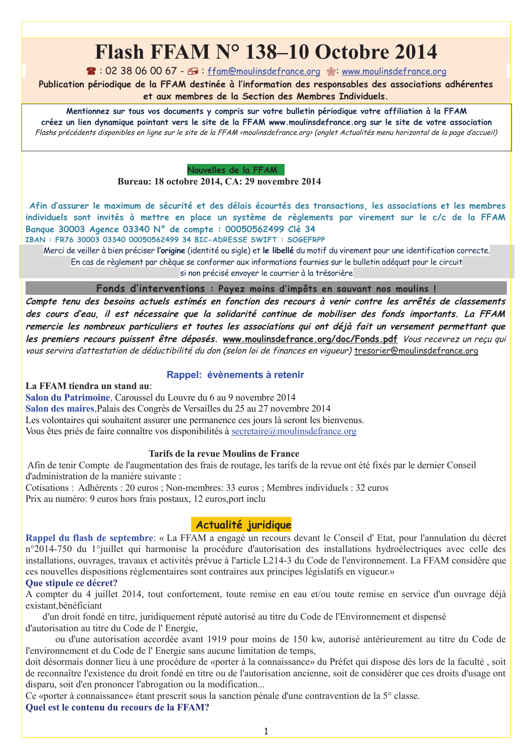# Flash FFAM N° 138-10 Octobre 2014

 $\blacksquare$ : 02 38 06 00 67 -  $\blacksquare$ : ffam@moulinsdefrance.org  $\textcircled{\tiny{\textcircled{\tiny{A}}}}$ : www.moulinsdefrance.org

Publication périodique de la FFAM destinée à l'information des responsables des associations adhérentes

et aux membres de la Section des Membres Individuels.

Mentionnez sur tous vos documents y compris sur votre bulletin périodique votre affiliation à la FFAM

créez un lien dynamique pointant vers le site de la FFAM www.moulinsdefrance.org sur le site de votre association Flashs précédents disponibles en ligne sur le site de la FFAM «moulinsdefrance.org» (onglet Actualités menu horizontal de la page d'accueil)

Nouvelles de la FFAM

Bureau: 18 octobre 2014, CA: 29 novembre 2014

Afin d'assurer le maximum de sécurité et des délais écourtés des transactions, les associations et les membres individuels sont invités à mettre en place un système de règlements par virement sur le c/c de la FFAM Banque 30003 Agence 03340 N° de compte : 00050562499 Clé 34

IBAN : FR76 30003 03340 00050562499 34 BIC-ADRESSE SWIFT : SOGEFRPP

Merci de veiller à bien préciser l'origine (identité ou sigle) et le libellé du motif du virement pour une identification correcte. En cas de règlement par chèque se conformer aux informations fournies sur le bulletin adéquat pour le circuit

si non précisé envoyer le courrier à la trésorière

Fonds d'interventions : Payez moins d'impôts en sauvant nos moulins!

Compte tenu des besoins actuels estimés en fonction des recours à venir contre les arrêtés de classements des cours d'eau, il est nécessaire que la solidarité continue de mobiliser des fonds importants. La FFAM remercie les nombreux particuliers et toutes les associations qui ont déjà fait un versement permettant que les premiers recours puissent être déposés. www.moulinsdefrance.org/doc/Fonds.pdf Vous recevrez un reçu qui vous servira d'attestation de déductibilité du don (selon loi de finances en vigueur) tresorier@moulinsdefrance.org

# Rappel: évènements à retenir

La FFAM tiendra un stand au:

Salon du Patrimoine, Caroussel du Louvre du 6 au 9 novembre 2014 Salon des maires Palais des Congrès de Versailles du 25 au 27 novembre 2014 Les volontaires qui souhaitent assurer une permanence ces jours là seront les bienvenus. Vous êtes priés de faire connaître vos disponibilités à secretaire@moulinsdefrance.org

# Tarifs de la revue Moulins de France

Afin de tenir Compte de l'augmentation des frais de routage, les tarifs de la revue ont été fixés par le dernier Conseil d'administration de la manière suivante :

Cotisations : Adhérents : 20 euros ; Non-membres: 33 euros ; Membres individuels : 32 euros Prix au numéro: 9 euros hors frais postaux, 12 euros, port inclu

# Actualité juridique

Rappel du flash de septembre: « La FFAM a engagé un recours devant le Conseil d'Etat, pour l'annulation du décret n°2014-750 du 1°juillet qui harmonise la procédure d'autorisation des installations hydroélectriques avec celle des installations, ouvrages, travaux et activités prévue à l'article L214-3 du Code de l'environnement. La FFAM considère que ces nouvelles dispositions réglementaires sont contraires aux principes législatifs en vigueur.»

### Oue stipule ce décret?

A compter du 4 juillet 2014, tout confortement, toute remise en eau et/ou toute remise en service d'un ouvrage déjà existant.bénéficiant

d'un droit fondé en titre, juridiquement réputé autorisé au titre du Code de l'Environnement et dispensé d'autorisation au titre du Code de l'Energie.

ou d'une autorisation accordée avant 1919 pour moins de 150 kw, autorisé antérieurement au titre du Code de l'environnement et du Code de l'Energie sans aucune limitation de temps,

doit désormais donner lieu à une procédure de «porter à la connaissance» du Préfet qui dispose dès lors de la faculté, soit de reconnaître l'existence du droit fondé en titre ou de l'autorisation ancienne, soit de considérer que ces droits d'usage ont disparu, soit d'en prononcer l'abrogation ou la modification...

Ce «porter à connaissance» étant prescrit sous la sanction pénale d'une contravention de la 5<sup>°</sup> classe. Quel est le contenu du recours de la FFAM?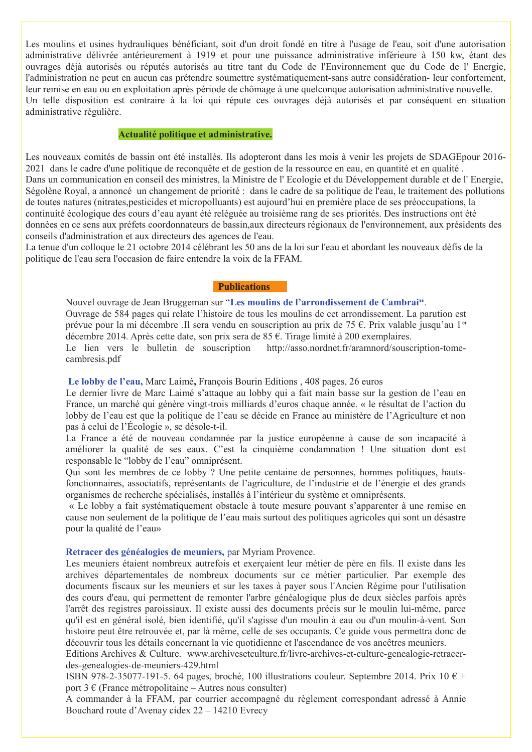Les moulins et usines hydrauliques bénéficiant, soit d'un droit fondé en titre à l'usage de l'eau, soit d'une autorisation administrative délivrée antérieurement à 1919 et pour une puissance administrative inférieure à 150 kw. étant des ouvrages déjà autorisés ou réputés autorisés au titre tant du Code de l'Environnement que du Code de l'Energie, l'administration ne peut en aucun cas prétendre soumettre systématiquement-sans autre considération-leur confortement, leur remise en eau ou en exploitation après période de chômage à une quelconque autorisation administrative nouvelle. Un telle disposition est contraire à la loi qui répute ces ouvrages déjà autorisés et par conséquent en situation administrative régulière.

#### Actualité politique et administrative.

Les nouveaux comités de bassin ont été installés. Ils adopteront dans les mois à venir les projets de SDAGE pour 2016-2021 dans le cadre d'une politique de reconquête et de gestion de la ressource en eau, en quantité et en qualité. Dans un communication en conseil des ministres, la Ministre de l'Ecologie et du Développement durable et de l'Energie, Ségolène Royal, a annoncé un changement de priorité : dans le cadre de sa politique de l'eau, le traitement des pollutions de toutes natures (nitrates, pesticides et micropolluants) est aujourd'hui en première place de ses préoccupations, la continuité écologique des cours d'eau ayant été reléguée au troisième rang de ses priorités. Des instructions ont été données en ce sens aux préfets coordonnateurs de bassin, aux directeurs régionaux de l'environnement, aux présidents des conseils d'administration et aux directeurs des agences de l'eau.

La tenue d'un colloque le 21 octobre 2014 célébrant les 50 ans de la loi sur l'eau et abordant les nouveaux défis de la politique de l'eau sera l'occasion de faire entendre la voix de la FFAM.

#### **Publications**

Nouvel ouvrage de Jean Bruggeman sur "Les moulins de l'arrondissement de Cambrai". Ouvrage de 584 pages qui relate l'histoire de tous les moulins de cet arrondissement. La parution est prévue pour la mi décembre .Il sera vendu en souscription au prix de 75 €. Prix valable jusqu'au 1<sup>er</sup> décembre 2014. Après cette date, son prix sera de 85 €. Tirage limité à 200 exemplaires. Le lien vers le bulletin de souscription http://asso.nordnet.fr/aramnord/souscription-tomecambresis.pdf

Le lobby de l'eau, Marc Laimé, François Bourin Editions, 408 pages, 26 euros

Le dernier livre de Marc Laimé s'attaque au lobby qui a fait main basse sur la gestion de l'eau en France, un marché qui génère vingt-trois milliards d'euros chaque année. « le résultat de l'action du lobby de l'eau est que la politique de l'eau se décide en France au ministère de l'Agriculture et non pas à celui de l'Écologie », se désole-t-il.

La France a été de nouveau condamnée par la justice européenne à cause de son incapacité à améliorer la qualité de ses eaux. C'est la cinquième condamnation ! Une situation dont est responsable le "lobby de l'eau" omniprésent.

Qui sont les membres de ce lobby ? Une petite centaine de personnes, hommes politiques, hautsfonctionnaires, associatifs, représentants de l'agriculture, de l'industrie et de l'énergie et des grands organismes de recherche spécialisés, installés à l'intérieur du système et omniprésents.

« Le lobby a fait systématiquement obstacle à toute mesure pouvant s'apparenter à une remise en cause non seulement de la politique de l'eau mais surtout des politiques agricoles qui sont un désastre pour la qualité de l'eau»

#### Retracer des généalogies de meuniers, par Myriam Provence.

Les meuniers étaient nombreux autrefois et exercaient leur métier de père en fils. Il existe dans les archives départementales de nombreux documents sur ce métier particulier. Par exemple des documents fiscaux sur les meuniers et sur les taxes à payer sous l'Ancien Régime pour l'utilisation des cours d'eau, qui permettent de remonter l'arbre généalogique plus de deux siècles parfois après l'arrêt des registres paroissiaux. Il existe aussi des documents précis sur le moulin lui-même, parce qu'il est en général isolé, bien identifié, qu'il s'agisse d'un moulin à eau ou d'un moulin-à-vent. Son histoire peut être retrouvée et, par là même, celle de ses occupants. Ce guide vous permettra donc de découvrir tous les détails concernant la vie quotidienne et l'ascendance de vos ancêtres meuniers.

Editions Archives & Culture. www.archivesetculture.fr/livre-archives-et-culture-genealogie-retracerdes-genealogies-de-meuniers-429.html

ISBN 978-2-35077-191-5. 64 pages, broché, 100 illustrations couleur. Septembre 2014. Prix 10  $\epsilon$  + port 3  $\epsilon$  (France métropolitaine – Autres nous consulter)

A commander à la FFAM, par courrier accompagné du règlement correspondant adressé à Annie Bouchard route d'Avenay cidex 22 – 14210 Evrecy